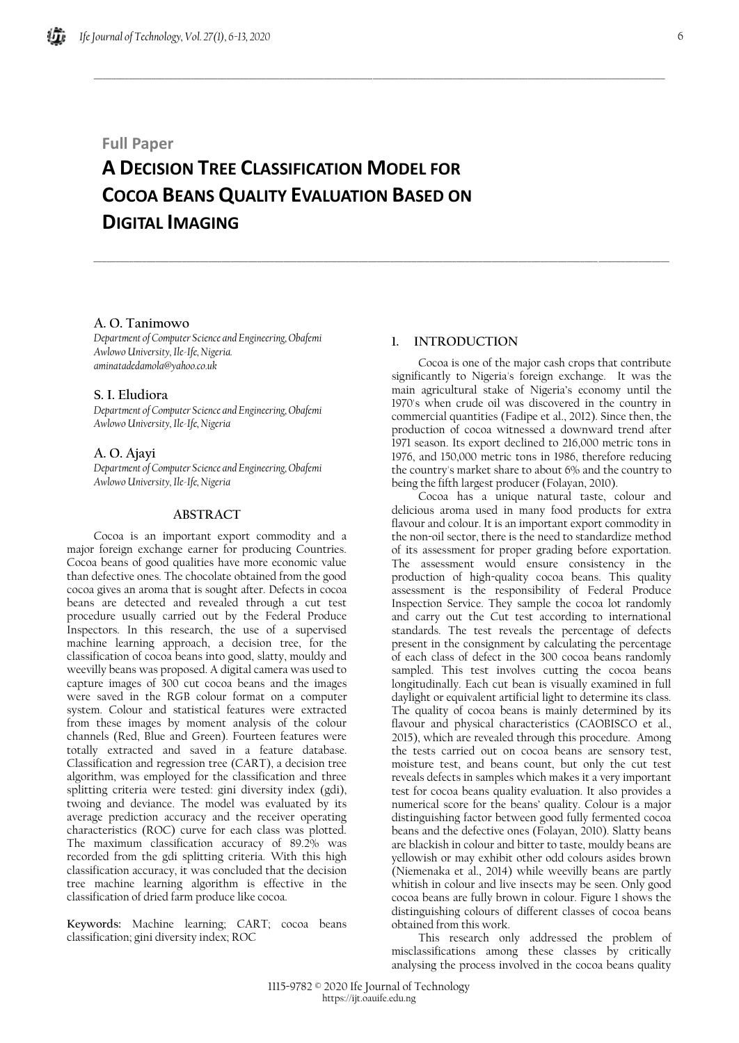## **Full Paper**

# **A DECISION TREE CLASSIFICATION MODEL FOR COCOA BEANS QUALITY EVALUATION BASED ON DIGITAL IMAGING**

 $\_$  , and the set of the set of the set of the set of the set of the set of the set of the set of the set of the set of the set of the set of the set of the set of the set of the set of the set of the set of the set of th

\_\_\_\_\_\_\_\_\_\_\_\_\_\_\_\_\_\_\_\_\_\_\_\_\_\_\_\_\_\_\_\_\_\_\_\_\_\_\_\_\_\_\_\_\_\_\_\_\_\_\_\_\_\_\_\_\_\_\_\_\_\_\_\_\_\_\_\_\_\_\_\_\_\_\_\_\_\_\_\_\_\_\_\_\_\_\_\_\_\_\_\_\_\_\_\_\_\_\_\_\_\_\_\_\_\_\_\_\_\_\_\_\_\_\_\_\_\_\_\_\_\_\_\_\_\_\_\_\_\_

## **A. O. Tanimowo**

*Department of Computer Science and Engineering, Obafemi Awlowo University, Ile-Ife, Nigeria. aminatadedamola@yahoo.co.uk*

## **S. I. Eludiora**

*Department of Computer Science and Engineering, Obafemi Awlowo University, Ile-Ife, Nigeria*

## **A. O. Ajayi**

*Department of Computer Science and Engineering, Obafemi Awlowo University, Ile-Ife, Nigeria*

## **ABSTRACT**

Cocoa is an important export commodity and a major foreign exchange earner for producing Countries. Cocoa beans of good qualities have more economic value than defective ones. The chocolate obtained from the good cocoa gives an aroma that is sought after. Defects in cocoa beans are detected and revealed through a cut test procedure usually carried out by the Federal Produce Inspectors. In this research, the use of a supervised machine learning approach, a decision tree, for the classification of cocoa beans into good, slatty, mouldy and weevilly beans was proposed. A digital camera was used to capture images of 300 cut cocoa beans and the images were saved in the RGB colour format on a computer system. Colour and statistical features were extracted from these images by moment analysis of the colour channels (Red, Blue and Green). Fourteen features were totally extracted and saved in a feature database. Classification and regression tree (CART), a decision tree algorithm, was employed for the classification and three splitting criteria were tested: gini diversity index (gdi), twoing and deviance. The model was evaluated by its average prediction accuracy and the receiver operating characteristics (ROC) curve for each class was plotted. The maximum classification accuracy of 89.2% was recorded from the gdi splitting criteria. With this high classification accuracy, it was concluded that the decision tree machine learning algorithm is effective in the classification of dried farm produce like cocoa.

**Keywords:** Machine learning; CART; cocoa beans classification; gini diversity index; ROC

## **1. INTRODUCTION**

Cocoa is one of the major cash crops that contribute significantly to Nigeria's foreign exchange. It was the main agricultural stake of Nigeria's economy until the 1970's when crude oil was discovered in the country in commercial quantities (Fadipe et al., 2012). Since then, the production of cocoa witnessed a downward trend after 1971 season. Its export declined to 216,000 metric tons in 1976, and 150,000 metric tons in 1986, therefore reducing the country's market share to about 6% and the country to being the fifth largest producer (Folayan, 2010).

Cocoa has a unique natural taste, colour and delicious aroma used in many food products for extra flavour and colour. It is an important export commodity in the non-oil sector, there is the need to standardize method of its assessment for proper grading before exportation. The assessment would ensure consistency in the production of high-quality cocoa beans. This quality assessment is the responsibility of Federal Produce Inspection Service. They sample the cocoa lot randomly and carry out the Cut test according to international standards. The test reveals the percentage of defects present in the consignment by calculating the percentage of each class of defect in the 300 cocoa beans randomly sampled. This test involves cutting the cocoa beans longitudinally. Each cut bean is visually examined in full daylight or equivalent artificial light to determine its class. The quality of cocoa beans is mainly determined by its flavour and physical characteristics (CAOBISCO et al., 2015), which are revealed through this procedure. Among the tests carried out on cocoa beans are sensory test, moisture test, and beans count, but only the cut test reveals defects in samples which makes it a very important test for cocoa beans quality evaluation. It also provides a numerical score for the beans' quality. Colour is a major distinguishing factor between good fully fermented cocoa beans and the defective ones (Folayan, 2010). Slatty beans are blackish in colour and bitter to taste, mouldy beans are yellowish or may exhibit other odd colours asides brown (Niemenaka et al., 2014) while weevilly beans are partly whitish in colour and live insects may be seen. Only good cocoa beans are fully brown in colour. Figure 1 shows the distinguishing colours of different classes of cocoa beans obtained from this work.

This research only addressed the problem of misclassifications among these classes by critically analysing the process involved in the cocoa beans quality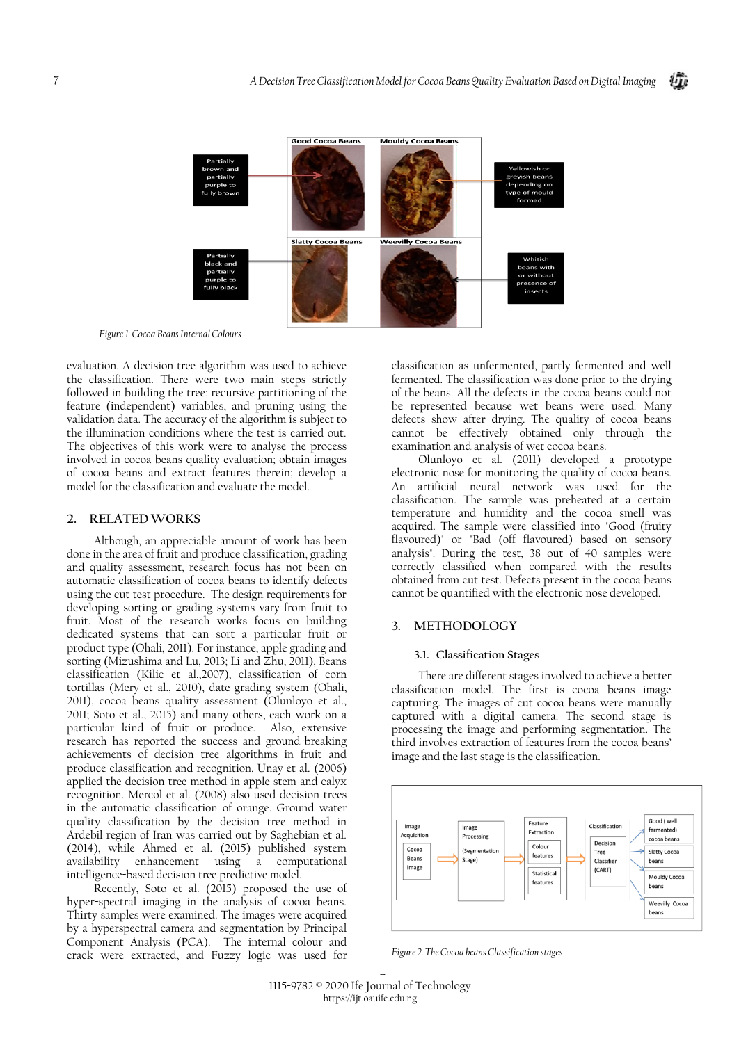

*Figure 1. Cocoa Beans Internal Colours*

evaluation. A decision tree algorithm was used to achieve the classification. There were two main steps strictly followed in building the tree: recursive partitioning of the feature (independent) variables, and pruning using the validation data. The accuracy of the algorithm is subject to the illumination conditions where the test is carried out. The objectives of this work were to analyse the process involved in cocoa beans quality evaluation; obtain images of cocoa beans and extract features therein; develop a model for the classification and evaluate the model.

## **2. RELATEDWORKS**

Although, an appreciable amount of work has been done in the area of fruit and produce classification, grading and quality assessment, research focus has not been on automatic classification of cocoa beans to identify defects using the cut test procedure. The design requirements for developing sorting or grading systems vary from fruit to fruit. Most of the research works focus on building dedicated systems that can sort a particular fruit or product type (Ohali, 2011). For instance, apple grading and sorting (Mizushima and Lu, 2013; Li and Zhu, 2011), Beans classification (Kilic et al.,2007), classification of corn tortillas (Mery et al., 2010), date grading system (Ohali, 2011), cocoa beans quality assessment (Olunloyo et al., 2011; Soto et al., 2015) and many others, each work on a particular kind of fruit or produce. Also, extensive research has reported the success and ground-breaking achievements of decision tree algorithms in fruit and produce classification and recognition. Unay et al. (2006) applied the decision tree method in apple stem and calyx recognition. Mercol et al. (2008) also used decision trees in the automatic classification of orange. Ground water quality classification by the decision tree method in Ardebil region of Iran was carried out by Saghebian et al. (2014), while Ahmed et al. (2015) published system availability enhancement using a computational intelligence-based decision tree predictive model.

Recently, Soto et al. (2015) proposed the use of hyper-spectral imaging in the analysis of cocoa beans. Thirty samples were examined. The images were acquired by a hyperspectral camera and segmentation by Principal Component Analysis (PCA). The internal colour and crack were extracted, and Fuzzy logic was used for classification as unfermented, partly fermented and well fermented. The classification was done prior to the drying of the beans. All the defects in the cocoa beans could not be represented because wet beans were used. Many defects show after drying. The quality of cocoa beans cannot be effectively obtained only through the examination and analysis of wet cocoa beans.

Olunloyo et al. (2011) developed a prototype electronic nose for monitoring the quality of cocoa beans. An artificial neural network was used for the classification. The sample was preheated at a certain temperature and humidity and the cocoa smell was acquired. The sample were classified into "Good (fruity flavoured)" or "Bad (off flavoured) based on sensory analysis". During the test, 38 out of 40 samples were correctly classified when compared with the results obtained from cut test. Defects present in the cocoa beans cannot be quantified with the electronic nose developed.

## **3. METHODOLOGY**

#### **3.1. Classification Stages**

There are different stages involved to achieve a better classification model. The first is cocoa beans image capturing. The images of cut cocoa beans were manually captured with a digital camera. The second stage is processing the image and performing segmentation. The third involves extraction of features from the cocoa beans' image and the last stage is the classification.



*Figure 2. The Cocoa beans Classification stages*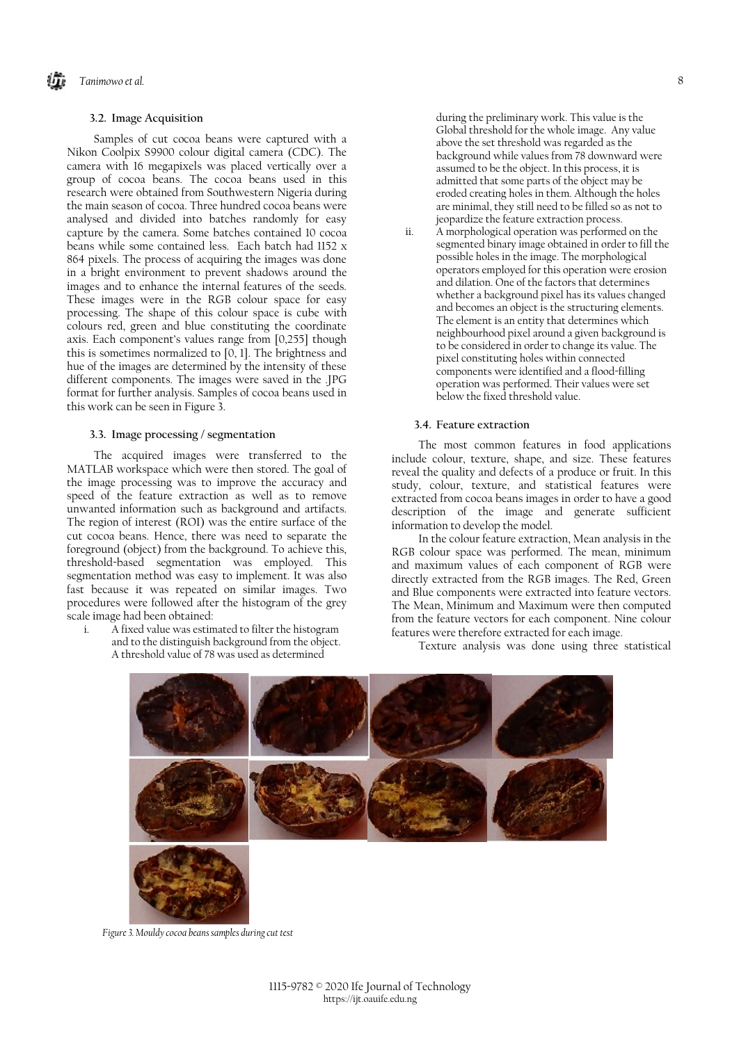## **3.2. Image Acquisition**

Samples of cut cocoa beans were captured with a Nikon Coolpix S9900 colour digital camera (CDC). The camera with 16 megapixels was placed vertically over a group of cocoa beans. The cocoa beans used in this research were obtained from Southwestern Nigeria during the main season of cocoa. Three hundred cocoa beans were analysed and divided into batches randomly for easy capture by the camera. Some batches contained 10 cocoa beans while some contained less. Each batch had 1152 x 864 pixels. The process of acquiring the images was done in a bright environment to prevent shadows around the images and to enhance the internal features of the seeds. These images were in the RGB colour space for easy processing. The shape of this colour space is cube with colours red, green and blue constituting the coordinate axis. Each component's values range from [0,255] though this is sometimes normalized to [0, 1]. The brightness and hue of the images are determined by the intensity of these different components. The images were saved in the .JPG format for further analysis. Samples of cocoa beans used in this work can be seen in Figure 3.

#### **3.3. Image processing / segmentation**

The acquired images were transferred to the MATLAB workspace which were then stored. The goal of the image processing was to improve the accuracy and speed of the feature extraction as well as to remove unwanted information such as background and artifacts. The region of interest (ROI) was the entire surface of the cut cocoa beans. Hence, there was need to separate the foreground (object) from the background. To achieve this, threshold-based segmentation was employed. This segmentation method was easy to implement. It was also fast because it was repeated on similar images. Two procedures were followed after the histogram of the grey scale image had been obtained:

i. A fixed value was estimated to filter the histogram and to the distinguish background from the object. A threshold value of 78 was used as determined

during the preliminary work. This value is the Global threshold for the whole image. Any value above the set threshold was regarded as the background while values from 78 downward were assumed to be the object. In this process, it is admitted that some parts of the object may be eroded creating holes in them. Although the holes are minimal, they still need to be filled so as not to jeopardize the feature extraction process.

ii. A morphological operation was performed on the segmented binary image obtained in order to fill the possible holes in the image. The morphological operators employed for this operation were erosion and dilation. One of the factors that determines whether a background pixel has its values changed and becomes an object is the structuring elements. The element is an entity that determines which neighbourhood pixel around a given background is to be considered in order to change its value. The pixel constituting holes within connected components were identified and a flood-filling operation was performed. Their values were set below the fixed threshold value.

#### **3.4. Feature extraction**

The most common features in food applications include colour, texture, shape, and size. These features reveal the quality and defects of a produce or fruit. In this study, colour, texture, and statistical features were extracted from cocoa beans images in order to have a good description of the image and generate sufficient information to develop the model.

In the colour feature extraction, Mean analysis in the RGB colour space was performed. The mean, minimum and maximum values of each component of RGB were directly extracted from the RGB images. The Red, Green and Blue components were extracted into feature vectors. The Mean, Minimum and Maximum were then computed from the feature vectors for each component. Nine colour features were therefore extracted for each image.

Texture analysis was done using three statistical



*Figure 3. Mouldy cocoa beans samples during cut test*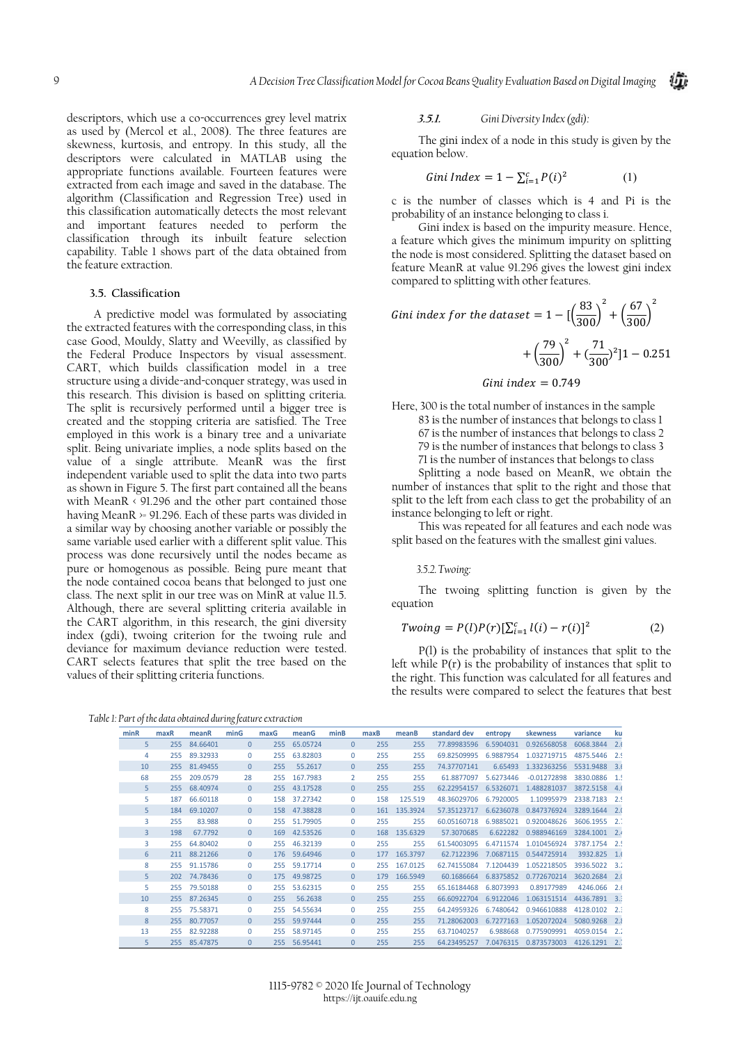descriptors, which use a co-occurrences grey level matrix as used by (Mercol et al., 2008). The three features are skewness, kurtosis, and entropy. In this study, all the descriptors were calculated in MATLAB using the appropriate functions available. Fourteen features were extracted from each image and saved in the database. The algorithm (Classification and Regression Tree) used in this classification automatically detects the most relevant and important features needed to perform the classification through its inbuilt feature selection capability. Table 1 shows part of the data obtained from the feature extraction.

## **3.5. Classification**

A predictive model was formulated by associating the extracted features with the corresponding class, in this case Good, Mouldy, Slatty and Weevilly, as classified by the Federal Produce Inspectors by visual assessment. CART, which builds classification model in a tree structure using a divide-and-conquer strategy, was used in this research. This division is based on splitting criteria. The split is recursively performed until a bigger tree is created and the stopping criteria are satisfied. The Tree employed in this work is a binary tree and a univariate split. Being univariate implies, a node splits based on the value of a single attribute. MeanR was the first independent variable used to split the data into two parts as shown in Figure 5. The first part contained all the beans with MeanR < 91.296 and the other part contained those having MeanR >= 91.296. Each of these parts was divided in a similar way by choosing another variable or possibly the same variable used earlier with a different split value. This process was done recursively until the nodes became as pure or homogenous as possible. Being pure meant that the node contained cocoa beans that belonged to just one class. The next split in our tree was on MinR at value 11.5. Although, there are several splitting criteria available in the CART algorithm, in this research, the gini diversity index (gdi), twoing criterion for the twoing rule and deviance for maximum deviance reduction were tested. CART selects features that split the tree based on the values of their splitting criteria functions.

*Table 1: Part of the data obtained during feature extraction*

#### **3.5.1.** *Gini Diversity Index (gdi):*

The gini index of a node in this study is given by the equation below.

Gini Index = 
$$
1 - \sum_{i=1}^{c} P(i)^2
$$
 (1)

c is the number of classes which is 4 and Pi is the probability of an instance belonging to class i.

Gini index is based on the impurity measure. Hence, a feature which gives the minimum impurity on splitting the node is most considered. Splitting the dataset based on feature MeanR at value 91.296 gives the lowest gini index compared to splitting with other features.

#### *Gini index for the dataset* =  $1 - \left[\left(\frac{83}{300}\right)\right]$ 2  $+\left(\frac{67}{300}\right)$ 2  $+\left(\frac{79}{300}\right)$ 2  $+(\frac{71}{300})^2]1 - 0.251$

#### Gini index  $= 0.749$

Here, 300 is the total number of instances in the sample 83 is the number of instances that belongs to class 1 67 is the number of instances that belongs to class 2 79 is the number of instances that belongs to class 3 71 is the number of instances that belongs to class Splitting a node based on MeanR, we obtain the

number of instances that split to the right and those that split to the left from each class to get the probability of an instance belonging to left or right.

This was repeated for all features and each node was split based on the features with the smallest gini values.

#### *3.5.2.Twoing:*

The twoing splitting function is given by the equation

$$
Twoing = P(l)P(r)[\sum_{i=1}^{c} l(i) - r(i)]^{2}
$$
 (2)

P(l) is the probability of instances that split to the left while P(r) is the probability of instances that split to the right. This function was calculated for all features and the results were compared to select the features that best

| minR | maxR | meanR        | min <sub>G</sub> | maxG | meanG        | minB           | maxB | meanB    | standard dev | entropy   | skewness      | variance  | ku   |
|------|------|--------------|------------------|------|--------------|----------------|------|----------|--------------|-----------|---------------|-----------|------|
| 5.   | 255  | 84.66401     | $\overline{0}$   | 255  | 65.05724     | $\mathbf{0}$   | 255  | 255      | 77.89983596  | 6.5904031 | 0.926568058   | 6068.3844 | 2.6  |
| 4    | 255  | 89.32933     | $\mathbf{0}$     | 255  | 63.82803     | $\Omega$       | 255  | 255      | 69.82509995  | 6.9887954 | 1.032719715   | 4875.5446 | 2.9  |
| 10   |      | 255 81.49455 | $\Omega$         | 255  | 55.2617      | $\Omega$       | 255  | 255      | 74.37707141  | 6.65493   | 1.332363256   | 5531.9488 | 3.6  |
| 68   | 255  | 209.0579     | 28               | 255  | 167.7983     | $\overline{2}$ | 255  | 255      | 61.8877097   | 5.6273446 | $-0.01272898$ | 3830.0886 | 1!   |
| 5    | 255  | 68.40974     | $\mathbf{0}$     | 255  | 43.17528     | $\Omega$       | 255  | 255      | 62.22954157  | 6.5326071 | 1.488281037   | 3872.5158 | 4.6  |
| 5.   | 187  | 66.60118     | $\Omega$         | 158  | 37.27342     | $\Omega$       | 158  | 125.519  | 48.36029706  | 6.7920005 | 1.10995979    | 2338.7183 | 2.9  |
| 5    | 184  | 69.10207     | $\mathbf{0}$     |      | 158 47.38828 | $\Omega$       | 161  | 135.3924 | 57.35123717  | 6.6236078 | 0.847376924   | 3289.1644 | 2.0  |
| 3    | 255  | 83.988       | $\mathbf{0}$     |      | 255 51.79905 | $\Omega$       | 255  | 255      | 60.05160718  | 6.9885021 | 0.920048626   | 3606.1955 | 2.7  |
| 3    | 198  | 67.7792      | $\mathbf{0}$     | 169  | 42.53526     | $\Omega$       | 168  | 135.6329 | 57.3070685   | 6.622282  | 0.988946169   | 3284.1001 | 2.4  |
| 3    | 255  | 64.80402     | $\Omega$         | 255  | 46.32139     | $\Omega$       | 255  | 255      | 61.54003095  | 6.4711574 | 1.010456924   | 3787.1754 | 2.5  |
| 6    |      | 211 88.21266 | $\Omega$         | 176  | 59.64946     | $\Omega$       | 177  | 165.3797 | 62.7122396   | 7.0687115 | 0.544725914   | 3932.825  | 1.6  |
| 8    | 255  | 91.15786     | $\Omega$         | 255  | 59.17714     | $\Omega$       | 255  | 167.0125 | 62.74155084  | 7.1204439 | 1.052218505   | 3936.5022 | -3.2 |
| 5    | 202  | 74.78436     | $\Omega$         | 175  | 49.98725     | $\Omega$       | 179  | 166.5949 | 60.1686664   | 6.8375852 | 0.772670214   | 3620,2684 | 2.0  |
| 5.   |      | 255 79.50188 | $\Omega$         | 255  | 53.62315     | $\Omega$       | 255  | 255      | 65.16184468  | 6.8073993 | 0.89177989    | 4246.066  | 2.6  |
| 10   |      | 255 87.26345 | $\mathbf{0}$     | 255  | 56.2638      | $\Omega$       | 255  | 255      | 66.60922704  | 6.9122046 | 1.063151514   | 4436.7891 | 3.3  |
| 8    | 255  | 75.58371     | $\mathbf{0}$     | 255  | 54.55634     | $\Omega$       | 255  | 255      | 64.24959326  | 6.7480642 | 0.946610888   | 4128.0102 | 2.3  |
| 8    | 255  | 80.77057     | $\Omega$         | 255  | 59.97444     | $\Omega$       | 255  | 255      | 71.28062003  | 6.7277163 | 1.052072024   | 5080.9268 | 2.8  |
| 13   | 255  | 82.92288     | $\mathbf{0}$     | 255  | 58.97145     | $\Omega$       | 255  | 255      | 63.71040257  | 6.988668  | 0.775909991   | 4059.0154 | 2.7  |
| 5    | 255  | 85.47875     | $\Omega$         | 255  | 56.95441     | $\Omega$       | 255  | 255      | 64.23495257  | 7.0476315 | 0.873573003   | 4126.1291 |      |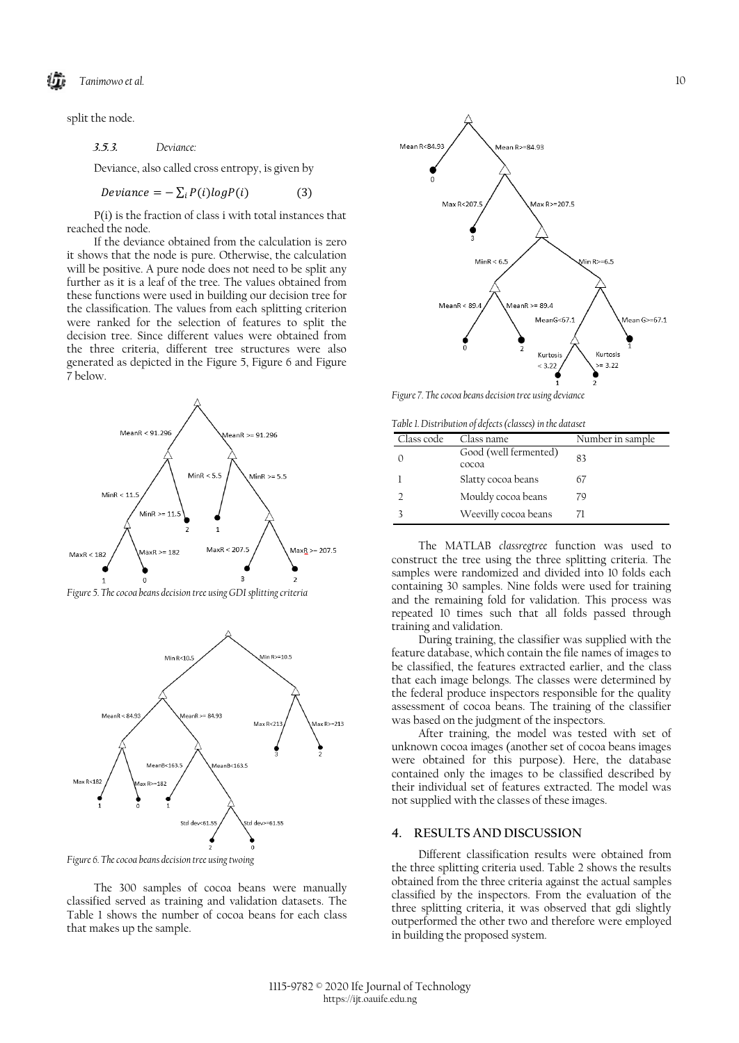split the node.

**3.5.3.** *Deviance:*

Deviance, also called cross entropy, is given by

$$
Deviance = -\sum_{i} P(i)logP(i) \tag{3}
$$

P(i) is the fraction of class i with total instances that reached the node.

If the deviance obtained from the calculation is zero it shows that the node is pure. Otherwise, the calculation will be positive. A pure node does not need to be split any further as it is a leaf of the tree. The values obtained from these functions were used in building our decision tree for the classification. The values from each splitting criterion were ranked for the selection of features to split the decision tree. Since different values were obtained from the three criteria, different tree structures were also generated as depicted in the Figure 5, Figure 6 and Figure 7 below.



*Figure 5. The cocoa beans decision tree using GDI splitting criteria*



*Figure 6. The cocoa beans decision tree using twoing*

The 300 samples of cocoa beans were manually classified served as training and validation datasets. The Table 1 shows the number of cocoa beans for each class that makes up the sample.



*Figure 7. The cocoa beans decision tree using deviance*

*Table 1. Distribution of defects (classes) in the dataset*

| Tuble 1. Distribution of acfects (clusses) in the autusci |                                |                  |  |  |  |
|-----------------------------------------------------------|--------------------------------|------------------|--|--|--|
| Class code                                                | Class name                     | Number in sample |  |  |  |
|                                                           | Good (well fermented)<br>cocoa | 83               |  |  |  |
|                                                           | Slatty cocoa beans             | 67               |  |  |  |
|                                                           | Mouldy cocoa beans             | 79               |  |  |  |
|                                                           | Weevilly cocoa beans           | 71               |  |  |  |

The MATLAB *classregtree* function was used to construct the tree using the three splitting criteria. The samples were randomized and divided into 10 folds each containing 30 samples. Nine folds were used for training and the remaining fold for validation. This process was repeated 10 times such that all folds passed through training and validation.

During training, the classifier was supplied with the feature database, which contain the file names of images to be classified, the features extracted earlier, and the class that each image belongs. The classes were determined by the federal produce inspectors responsible for the quality assessment of cocoa beans. The training of the classifier was based on the judgment of the inspectors.

After training, the model was tested with set of unknown cocoa images (another set of cocoa beans images were obtained for this purpose). Here, the database contained only the images to be classified described by their individual set of features extracted. The model was not supplied with the classes of these images.

### **4. RESULTS AND DISCUSSION**

Different classification results were obtained from the three splitting criteria used. Table 2 shows the results obtained from the three criteria against the actual samples classified by the inspectors. From the evaluation of the three splitting criteria, it was observed that gdi slightly outperformed the other two and therefore were employed in building the proposed system.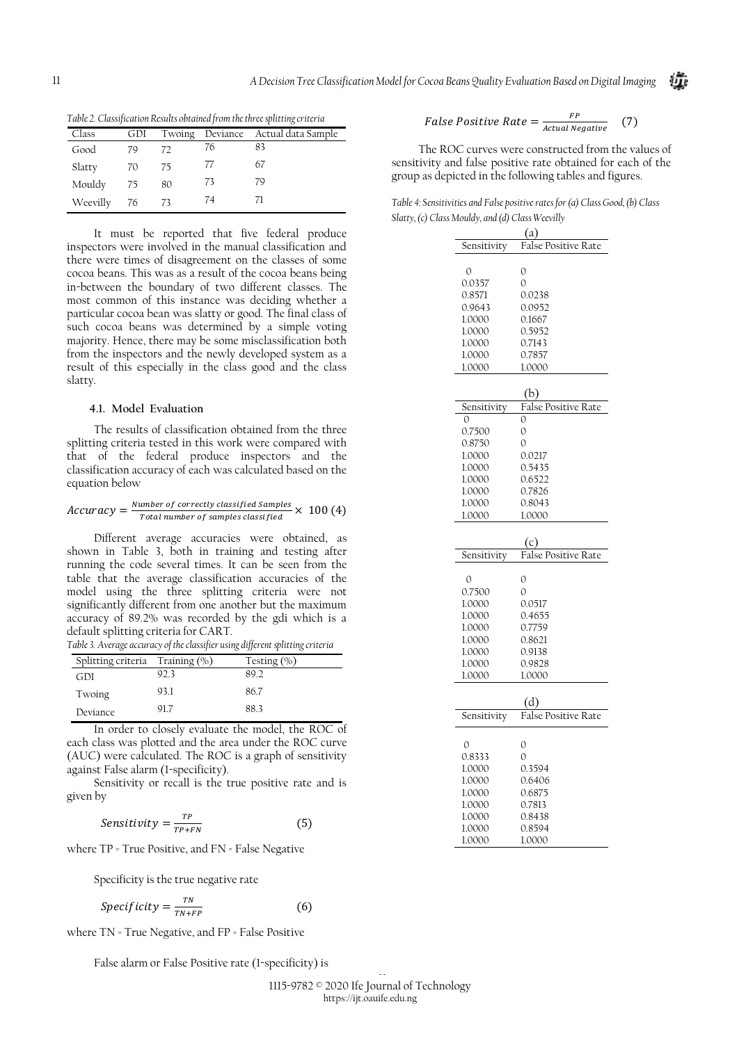*Table 2. Classification Results obtained from the three splitting criteria*

| Class    | GDI  |    |    | Twoing Deviance Actual data Sample |
|----------|------|----|----|------------------------------------|
| Good     | 79   | 72 | 76 | 83                                 |
| Slatty   | - 70 | 75 | 77 | 67                                 |
| Mouldy   | - 75 | 80 | 73 | 79                                 |
| Weevilly | 76   | 73 | 74 |                                    |

It must be reported that five federal produce inspectors were involved in the manual classification and there were times of disagreement on the classes of some cocoa beans. This was as a result of the cocoa beans being in-between the boundary of two different classes. The most common of this instance was deciding whether a particular cocoa bean was slatty or good. The final class of such cocoa beans was determined by a simple voting majority. Hence, there may be some misclassification both from the inspectors and the newly developed system as a result of this especially in the class good and the class slatty.

### **4.1. Model Evaluation**

The results of classification obtained from the three splitting criteria tested in this work were compared with that of the federal produce inspectors and the classification accuracy of each was calculated based on the equation below

$$
Accuracy = \frac{Number\ of\ correctly\ classified\ samples}{Total\ number\ of\ samples\ classified} \times 100\ (4)
$$

Different average accuracies were obtained, as shown in Table 3, both in training and testing after running the code several times. It can be seen from the table that the average classification accuracies of the model using the three splitting criteria were not significantly different from one another but the maximum accuracy of 89.2% was recorded by the gdi which is a default splitting criteria for CART.

*Table 3. Average accuracy of the classifier using different splitting criteria*

| Splitting criteria $\pi$ Training $(\%)$ |      | Testing $(\% )$ |
|------------------------------------------|------|-----------------|
| GDI                                      | 923  | 89.2            |
| Twoing                                   | 93.1 | 86.7            |
| Deviance                                 | 91.7 | 883             |

In order to closely evaluate the model, the ROC of each class was plotted and the area under the ROC curve (AUC) were calculated. The ROC is a graph of sensitivity against False alarm (1-specificity).

Sensitivity or recall is the true positive rate and is given by

$$
Sensitivity = \frac{TP}{TP+FN}
$$
 (5)

where TP = True Positive, and FN = False Negative

Specificity is the true negative rate

$$
Specificity = \frac{TN}{TN + FP}
$$
 (6)

where TN = True Negative, and FP = False Positive

False alarm or False Positive rate (1-specificity) is

False Positive Rate = 
$$
\frac{FP}{Actual Negative}
$$
 (7)

The ROC curves were constructed from the values of sensitivity and false positive rate obtained for each of the group as depicted in the following tables and figures.

| Table 4: Sensitivities and False positive rates for (a) Class Good, (b) Class |  |  |
|-------------------------------------------------------------------------------|--|--|
| Slatty, (c) Class Mouldy, and (d) Class Weevilly                              |  |  |

| (a           |                            |  |  |  |  |
|--------------|----------------------------|--|--|--|--|
| Sensitivity  | False Positive Rate        |  |  |  |  |
|              |                            |  |  |  |  |
| 0            | $\mathcal{O}$              |  |  |  |  |
| 0.0357       | $\overline{O}$             |  |  |  |  |
| 0.8571       | 0.0238                     |  |  |  |  |
| 0.9643       | 0.0952                     |  |  |  |  |
| 1.0000       | 0.1667                     |  |  |  |  |
| 1.0000       | 0.5952                     |  |  |  |  |
| 1.0000       | 0.7143                     |  |  |  |  |
| 1.0000       | 0.7857                     |  |  |  |  |
| 1.0000       | 1.0000                     |  |  |  |  |
|              |                            |  |  |  |  |
|              | (b)                        |  |  |  |  |
| Sensitivity  | False Positive Rate        |  |  |  |  |
| $\Omega$     | 0                          |  |  |  |  |
| 0.7500       | 0                          |  |  |  |  |
| 0.8750       | $\overline{O}$             |  |  |  |  |
| 1.0000       | 0.0217                     |  |  |  |  |
| 1.0000       | 0.5435                     |  |  |  |  |
| 1.0000       | 0.6522                     |  |  |  |  |
| 1.0000       | 0.7826                     |  |  |  |  |
| 1.0000       | 0.8043                     |  |  |  |  |
|              |                            |  |  |  |  |
| 1.0000       | 1.0000                     |  |  |  |  |
|              |                            |  |  |  |  |
|              | (C)                        |  |  |  |  |
| Sensitivity  | False Positive Rate        |  |  |  |  |
| 0            | $\mathcal{O}$              |  |  |  |  |
| 0.7500       | $\overline{O}$             |  |  |  |  |
| 1.0000       | 0.0517                     |  |  |  |  |
|              |                            |  |  |  |  |
| 1.0000       | 0.4655                     |  |  |  |  |
| 1.0000       | 0.7759                     |  |  |  |  |
| 1.0000       | 0.8621                     |  |  |  |  |
| 1.0000       | 0.9138                     |  |  |  |  |
| 1.0000       | 0.9828                     |  |  |  |  |
| 1.0000       | 1.0000                     |  |  |  |  |
|              |                            |  |  |  |  |
|              | (d)<br>False Positive Rate |  |  |  |  |
| Sensitivity  |                            |  |  |  |  |
|              |                            |  |  |  |  |
| $\mathbf{0}$ | $\mathcal{O}$              |  |  |  |  |
| 0.8333       | $\overline{O}$             |  |  |  |  |
| 1.0000       | 0.3594                     |  |  |  |  |
| 1.0000       | 0.6406                     |  |  |  |  |
| 1.0000       | 0.6875                     |  |  |  |  |
| 1.0000       | 0.7813                     |  |  |  |  |
| 1.0000       | 0.8438                     |  |  |  |  |
| 1.0000       | 0.8594                     |  |  |  |  |
| 1.0000       | 1.0000                     |  |  |  |  |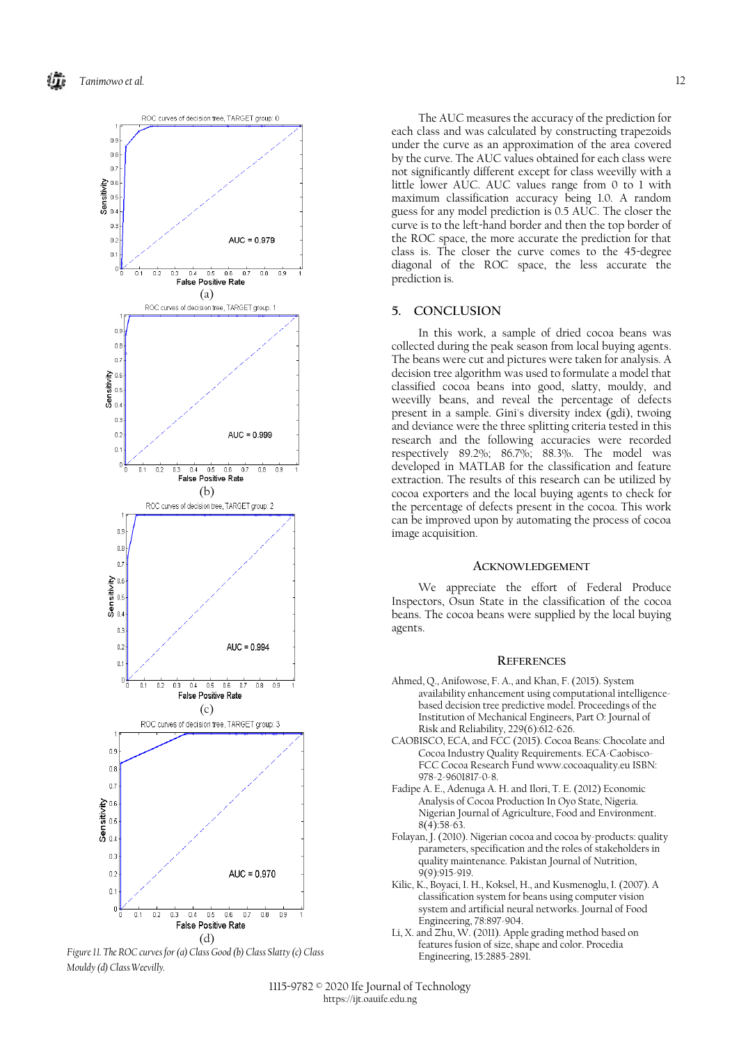



The AUC measures the accuracy of the prediction for each class and was calculated by constructing trapezoids under the curve as an approximation of the area covered by the curve. The AUC values obtained for each class were not significantly different except for class weevilly with a little lower AUC. AUC values range from 0 to 1 with maximum classification accuracy being 1.0. A random guess for any model prediction is 0.5 AUC. The closer the curve is to the left-hand border and then the top border of the ROC space, the more accurate the prediction for that class is. The closer the curve comes to the 45-degree diagonal of the ROC space, the less accurate the prediction is.

## **5. CONCLUSION**

In this work, a sample of dried cocoa beans was collected during the peak season from local buying agents. The beans were cut and pictures were taken for analysis. A decision tree algorithm was used to formulate a model that classified cocoa beans into good, slatty, mouldy, and weevilly beans, and reveal the percentage of defects present in a sample. Gini's diversity index (gdi), twoing and deviance were the three splitting criteria tested in this research and the following accuracies were recorded respectively 89.2%; 86.7%; 88.3%. The model was developed in MATLAB for the classification and feature extraction. The results of this research can be utilized by cocoa exporters and the local buying agents to check for the percentage of defects present in the cocoa. This work can be improved upon by automating the process of cocoa image acquisition.

### **ACKNOWLEDGEMENT**

We appreciate the effort of Federal Produce Inspectors, Osun State in the classification of the cocoa beans. The cocoa beans were supplied by the local buying agents.

#### **REFERENCES**

- Ahmed, Q., Anifowose, F. A., and Khan, F. (2015). System availability enhancement using computational intelligencebased decision tree predictive model. Proceedings of the Institution of Mechanical Engineers, Part O: Journal of Risk and Reliability, 229(6):612-626.
- CAOBISCO, ECA, and FCC (2015). Cocoa Beans: Chocolate and Cocoa Industry Quality Requirements. ECA-Caobisco-FCC Cocoa Research Fund www.cocoaquality.eu ISBN: 978-2-9601817-0-8.
- Fadipe A. E., Adenuga A. H. and Ilori, T. E. (2012) Economic Analysis of Cocoa Production In Oyo State, Nigeria. Nigerian Journal of Agriculture, Food and Environment. 8(4):58-63.
- Folayan, J. (2010). Nigerian cocoa and cocoa by-products: quality parameters, specification and the roles of stakeholders in quality maintenance. Pakistan Journal of Nutrition, 9(9):915-919.
- Kilic, K., Boyaci, I. H., Koksel, H., and Kusmenoglu, I. (2007). A classification system for beans using computer vision system and artificial neural networks. Journal of Food Engineering, 78:897-904.
- Li, X. and Zhu, W. (2011). Apple grading method based on features fusion of size, shape and color. Procedia Engineering, 15:2885-2891.